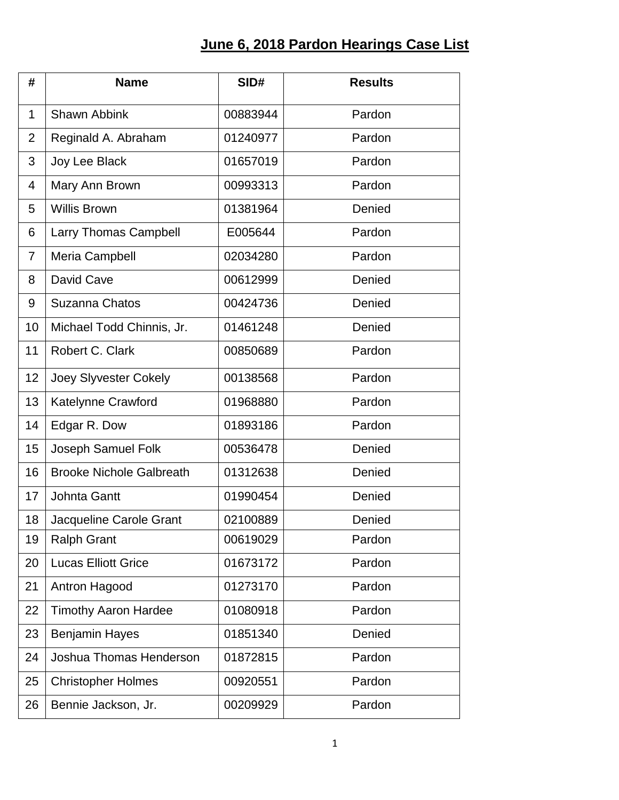## **June 6, 2018 Pardon Hearings Case List**

| #              | <b>Name</b>                     | SID#     | <b>Results</b> |
|----------------|---------------------------------|----------|----------------|
| $\mathbf 1$    | <b>Shawn Abbink</b>             | 00883944 | Pardon         |
| $\overline{2}$ | Reginald A. Abraham             | 01240977 | Pardon         |
| 3              | Joy Lee Black                   | 01657019 | Pardon         |
| 4              | Mary Ann Brown                  | 00993313 | Pardon         |
| 5              | <b>Willis Brown</b>             | 01381964 | Denied         |
| 6              | Larry Thomas Campbell           | E005644  | Pardon         |
| $\overline{7}$ | Meria Campbell                  | 02034280 | Pardon         |
| 8              | David Cave                      | 00612999 | Denied         |
| 9              | Suzanna Chatos                  | 00424736 | Denied         |
| 10             | Michael Todd Chinnis, Jr.       | 01461248 | Denied         |
| 11             | Robert C. Clark                 | 00850689 | Pardon         |
| 12             | <b>Joey Slyvester Cokely</b>    | 00138568 | Pardon         |
| 13             | Katelynne Crawford              | 01968880 | Pardon         |
| 14             | Edgar R. Dow                    | 01893186 | Pardon         |
| 15             | Joseph Samuel Folk              | 00536478 | Denied         |
| 16             | <b>Brooke Nichole Galbreath</b> | 01312638 | Denied         |
| 17             | <b>Johnta Gantt</b>             | 01990454 | Denied         |
| 18             | Jacqueline Carole Grant         | 02100889 | Denied         |
| 19             | <b>Ralph Grant</b>              | 00619029 | Pardon         |
| 20             | <b>Lucas Elliott Grice</b>      | 01673172 | Pardon         |
| 21             | Antron Hagood                   | 01273170 | Pardon         |
| 22             | <b>Timothy Aaron Hardee</b>     | 01080918 | Pardon         |
| 23             | <b>Benjamin Hayes</b>           | 01851340 | Denied         |
| 24             | Joshua Thomas Henderson         | 01872815 | Pardon         |
| 25             | <b>Christopher Holmes</b>       | 00920551 | Pardon         |
| 26             | Bennie Jackson, Jr.             | 00209929 | Pardon         |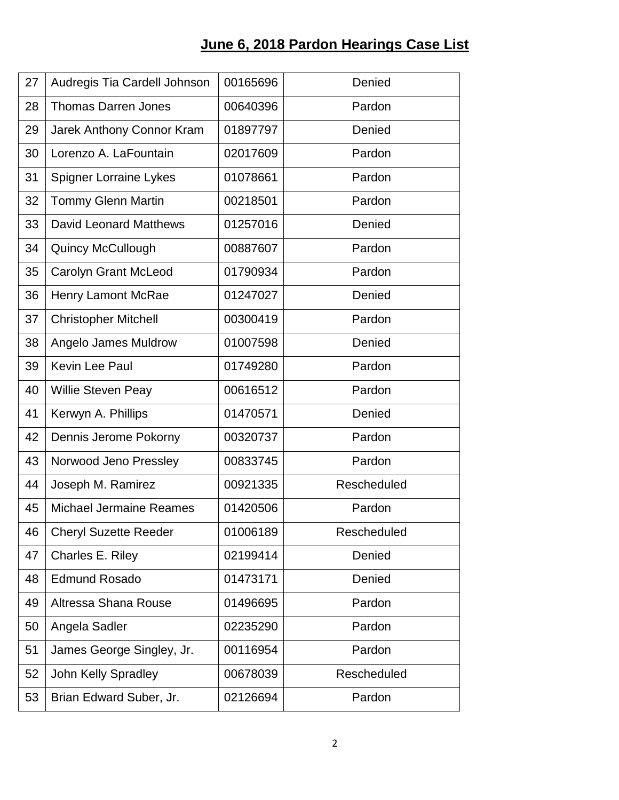## **June 6, 2018 Pardon Hearings Case List**

| 27 | Audregis Tia Cardell Johnson   | 00165696 | Denied      |
|----|--------------------------------|----------|-------------|
| 28 | <b>Thomas Darren Jones</b>     | 00640396 | Pardon      |
| 29 | Jarek Anthony Connor Kram      | 01897797 | Denied      |
| 30 | Lorenzo A. LaFountain          | 02017609 | Pardon      |
| 31 | <b>Spigner Lorraine Lykes</b>  | 01078661 | Pardon      |
| 32 | Tommy Glenn Martin             | 00218501 | Pardon      |
| 33 | <b>David Leonard Matthews</b>  | 01257016 | Denied      |
| 34 | <b>Quincy McCullough</b>       | 00887607 | Pardon      |
| 35 | Carolyn Grant McLeod           | 01790934 | Pardon      |
| 36 | <b>Henry Lamont McRae</b>      | 01247027 | Denied      |
| 37 | <b>Christopher Mitchell</b>    | 00300419 | Pardon      |
| 38 | Angelo James Muldrow           | 01007598 | Denied      |
| 39 | Kevin Lee Paul                 | 01749280 | Pardon      |
| 40 | <b>Willie Steven Peay</b>      | 00616512 | Pardon      |
| 41 | Kerwyn A. Phillips             | 01470571 | Denied      |
| 42 | Dennis Jerome Pokorny          | 00320737 | Pardon      |
| 43 | Norwood Jeno Pressley          | 00833745 | Pardon      |
| 44 | Joseph M. Ramirez              | 00921335 | Rescheduled |
| 45 | <b>Michael Jermaine Reames</b> | 01420506 | Pardon      |
| 46 | <b>Cheryl Suzette Reeder</b>   | 01006189 | Rescheduled |
| 47 | Charles E. Riley               | 02199414 | Denied      |
| 48 | <b>Edmund Rosado</b>           | 01473171 | Denied      |
| 49 | Altressa Shana Rouse           | 01496695 | Pardon      |
| 50 | Angela Sadler                  | 02235290 | Pardon      |
| 51 | James George Singley, Jr.      | 00116954 | Pardon      |
| 52 | <b>John Kelly Spradley</b>     | 00678039 | Rescheduled |
| 53 | Brian Edward Suber, Jr.        | 02126694 | Pardon      |